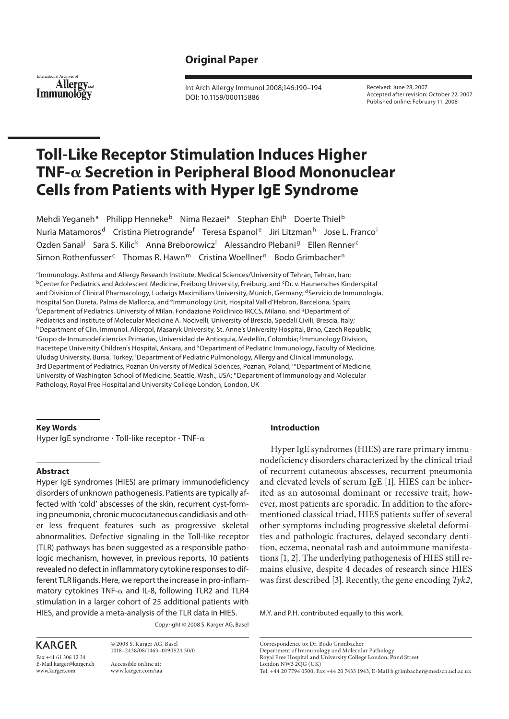# **Original Paper**

International Archives of **Allergy**<sub>and</sub> Immunology

 Int Arch Allergy Immunol 2008;146:190–194 DOI: 10.1159/000115886

 Received: June 28, 2007 Accepted after revision: October 22, 2007 Published online: February 11, 2008

# **Toll-Like Receptor Stimulation Induces Higher TNF-** - **Secretion in Peripheral Blood Mononuclear Cells from Patients with Hyper IgE Syndrome**

Mehdi Yeganeh<sup>a</sup> Philipp Henneke<sup>b</sup> Nima Rezaei<sup>a</sup> Stephan Ehl<sup>b</sup> Doerte Thiel<sup>b</sup> Nuria Matamoros<sup>d</sup> Cristina Pietrogrande<sup>f</sup> Teresa Espanol<sup>e</sup> Jiri Litzman<sup>h</sup> Jose L. Franco<sup>i</sup> Ozden Sanal<sup>j</sup> Sara S. Kilic<sup>k</sup> Anna Breborowicz<sup>1</sup> Alessandro Plebani<sup>g</sup> Ellen Renner<sup>c</sup> Simon Rothenfusser<sup>c</sup> Thomas R. Hawn<sup>m</sup> Cristina Woellner<sup>n</sup> Bodo Grimbacher<sup>n</sup>

almmunology, Asthma and Allergy Research Institute, Medical Sciences/University of Tehran, Tehran, Iran; **bCenter for Pediatrics and Adolescent Medicine, Freiburg University, Freiburg, and <sup>c</sup>Dr. v. Haunersches Kinderspital** and Division of Clinical Pharmacology, Ludwigs Maximilians University, Munich, Germany; <sup>d</sup> Servicio de Inmunologia, Hospital Son Dureta, Palma de Mallorca, and <sup>e</sup>lmmunology Unit, Hospital Vall d'Hebron, Barcelona, Spain; <sup>f</sup> Department of Pediatrics, University of Milan, Fondazione Policlinico IRCCS, Milano, and <sup>g</sup> Department of Pediatrics and Institute of Molecular Medicine A. Nocivelli, University of Brescia, Spedali Civili, Brescia, Italy; h Department of Clin. Immunol. Allergol, Masaryk University, St. Anne's University Hospital, Brno, Czech Republic; <sup>i</sup>Grupo de Inmunodeficiencias Primarias, Universidad de Antioquia, Medellín, Colombia; <sup>j</sup>Immunology Division, Hacettepe University Children's Hospital, Ankara, and <sup>k</sup>Department of Pediatric Immunology, Faculty of Medicine, Uludag University, Bursa, Turkey; <sup>I</sup>Department of Pediatric Pulmonology, Allergy and Clinical Immunology, 3rd Department of Pediatrics, Poznan University of Medical Sciences, Poznan, Poland; m Department of Medicine, University of Washington School of Medicine, Seattle, Wash., USA; <sup>n</sup> Department of Immunology and Molecular Pathology, Royal Free Hospital and University College London, London, UK

 **Key Words**  Hyper IgE syndrome  $\cdot$  Toll-like receptor  $\cdot$  TNF- $\alpha$ 

### **Abstract**

 Hyper IgE syndromes (HIES) are primary immunodeficiency disorders of unknown pathogenesis. Patients are typically affected with 'cold' abscesses of the skin, recurrent cyst-forming pneumonia, chronic mucocutaneous candidiasis and other less frequent features such as progressive skeletal abnormalities. Defective signaling in the Toll-like receptor (TLR) pathways has been suggested as a responsible pathologic mechanism, however, in previous reports, 10 patients revealed no defect in inflammatory cytokine responses to different TLR ligands. Here, we report the increase in pro-inflammatory cytokines TNF- $\alpha$  and IL-8, following TLR2 and TLR4 stimulation in a larger cohort of 25 additional patients with HIES, and provide a meta-analysis of the TLR data in HIES.

Copyright © 2008 S. Karger AG, Basel

**KARGER** Fax +41 61 306 12 34

E-Mail karger@karger.ch www.karger.com

 © 2008 S. Karger AG, Basel 1018–2438/08/1463–0190\$24.50/0 Accessible online at:

www.karger.com/iaa

# **Introduction**

 Hyper IgE syndromes (HIES) are rare primary immunodeficiency disorders characterized by the clinical triad of recurrent cutaneous abscesses, recurrent pneumonia and elevated levels of serum IgE [1]. HIES can be inherited as an autosomal dominant or recessive trait, however, most patients are sporadic. In addition to the aforementioned classical triad, HIES patients suffer of several other symptoms including progressive skeletal deformities and pathologic fractures, delayed secondary dentition, eczema, neonatal rash and autoimmune manifestations [1, 2]. The underlying pathogenesis of HIES still remains elusive, despite 4 decades of research since HIES was first described [3]. Recently, the gene encoding *Tyk2*,

M.Y. and P.H. contributed equally to this work.

Correspondence to: Dr. Bodo Grimbacher

Department of Immunology and Molecular Pathology Royal Free Hospital and University College London, Pond Street

London NW3 2OG (UK)

Tel. +44 20 7794 0500, Fax +44 20 7433 1943, E-Mail b.grimbacher@medsch.ucl.ac.uk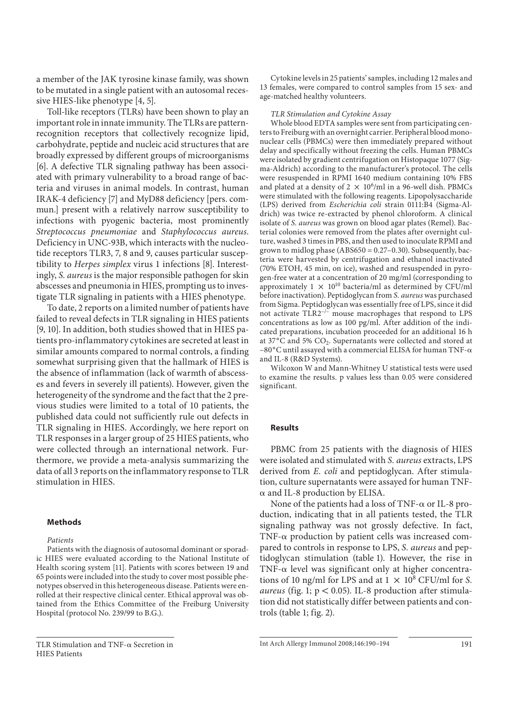a member of the JAK tyrosine kinase family, was shown to be mutated in a single patient with an autosomal recessive HIES-like phenotype [4, 5].

 Toll-like receptors (TLRs) have been shown to play an important role in innate immunity. The TLRs are patternrecognition receptors that collectively recognize lipid, carbohydrate, peptide and nucleic acid structures that are broadly expressed by different groups of microorganisms [6]. A defective TLR signaling pathway has been associated with primary vulnerability to a broad range of bacteria and viruses in animal models. In contrast, human IRAK-4 deficiency [7] and MyD88 deficiency [pers. commun.] present with a relatively narrow susceptibility to infections with pyogenic bacteria, most prominently *Streptococcus pneumoniae* and *Staphylococcus aureus* . Deficiency in UNC-93B, which interacts with the nucleotide receptors TLR3, 7, 8 and 9, causes particular susceptibility to *Herpes simplex* virus 1 infections [8]. Interestingly, *S. aureus* is the major responsible pathogen for skin abscesses and pneumonia in HIES, prompting us to investigate TLR signaling in patients with a HIES phenotype.

 To date, 2 reports on a limited number of patients have failed to reveal defects in TLR signaling in HIES patients [9, 10]. In addition, both studies showed that in HIES patients pro-inflammatory cytokines are secreted at least in similar amounts compared to normal controls, a finding somewhat surprising given that the hallmark of HIES is the absence of inflammation (lack of warmth of abscesses and fevers in severely ill patients). However, given the heterogeneity of the syndrome and the fact that the 2 previous studies were limited to a total of 10 patients, the published data could not sufficiently rule out defects in TLR signaling in HIES. Accordingly, we here report on TLR responses in a larger group of 25 HIES patients, who were collected through an international network. Furthermore, we provide a meta-analysis summarizing the data of all 3 reports on the inflammatory response to TLR stimulation in HIES.

#### **Methods**

 *Patients* 

 Patients with the diagnosis of autosomal dominant or sporadic HIES were evaluated according to the National Institute of Health scoring system [11]. Patients with scores between 19 and 65 points were included into the study to cover most possible phenotypes observed in this heterogeneous disease. Patients were enrolled at their respective clinical center. Ethical approval was obtained from the Ethics Committee of the Freiburg University Hospital (protocol No. 239/99 to B.G.).

TLR Stimulation and TNF- $\alpha$  Secretion in HIES Patients

 Cytokine levels in 25 patients' samples, including 12 males and 13 females, were compared to control samples from 15 sex- and age-matched healthy volunteers.

#### *TLR Stimulation and Cytokine Assay*

 Whole blood EDTA samples were sent from participating centers to Freiburg with an overnight carrier. Peripheral blood mononuclear cells (PBMCs) were then immediately prepared without delay and specifically without freezing the cells. Human PBMCs were isolated by gradient centrifugation on Histopaque 1077 (Sigma-Aldrich) according to the manufacturer's protocol. The cells were resuspended in RPMI 1640 medium containing 10% FBS and plated at a density of  $2 \times 10^6$ /ml in a 96-well dish. PBMCs were stimulated with the following reagents. Lipopolysaccharide (LPS) derived from *Escherichia coli* strain 0111:B4 (Sigma-Aldrich) was twice re-extracted by phenol chloroform. A clinical isolate of *S. aureus* was grown on blood agar plates (Remel). Bacterial colonies were removed from the plates after overnight culture, washed 3 times in PBS, and then used to inoculate RPMI and grown to midlog phase  $(ABS650 = 0.27-0.30)$ . Subsequently, bacteria were harvested by centrifugation and ethanol inactivated (70% ETOH, 45 min, on ice), washed and resuspended in pyrogen-free water at a concentration of 20 mg/ml (corresponding to approximately  $1 \times 10^{10}$  bacteria/ml as determined by CFU/ml before inactivation). Peptidoglycan from *S. aureus* was purchased from Sigma. Peptidoglycan was essentially free of LPS, since it did not activate  $TLR2^{-/-}$  mouse macrophages that respond to LPS concentrations as low as 100 pg/ml. After addition of the indicated preparations, incubation proceeded for an additional 16 h at 37°C and 5% CO<sub>2</sub>. Supernatants were collected and stored at  $-80^{\circ}$ C until assayed with a commercial ELISA for human TNF- $\alpha$ and IL-8 (R&D Systems).

 Wilcoxon W and Mann-Whitney U statistical tests were used to examine the results. p values less than 0.05 were considered significant.

# **Results**

 PBMC from 25 patients with the diagnosis of HIES were isolated and stimulated with *S. aureus* extracts, LPS derived from *E. coli* and peptidoglycan. After stimulation, culture supernatants were assayed for human TNF-  $\alpha$  and IL-8 production by ELISA.

None of the patients had a loss of TNF- $\alpha$  or IL-8 production, indicating that in all patients tested, the TLR signaling pathway was not grossly defective. In fact, TNF- $\alpha$  production by patient cells was increased compared to controls in response to LPS, *S. aureus* and peptidoglycan stimulation (table 1). However, the rise in TNF- $\alpha$  level was significant only at higher concentrations of 10 ng/ml for LPS and at  $1 \times 10^8$  CFU/ml for *S*. *aureus* (fig. 1;  $p < 0.05$ ). IL-8 production after stimulation did not statistically differ between patients and controls (table 1; fig. 2).

Int Arch Allergy Immunol 2008;146:190–194 191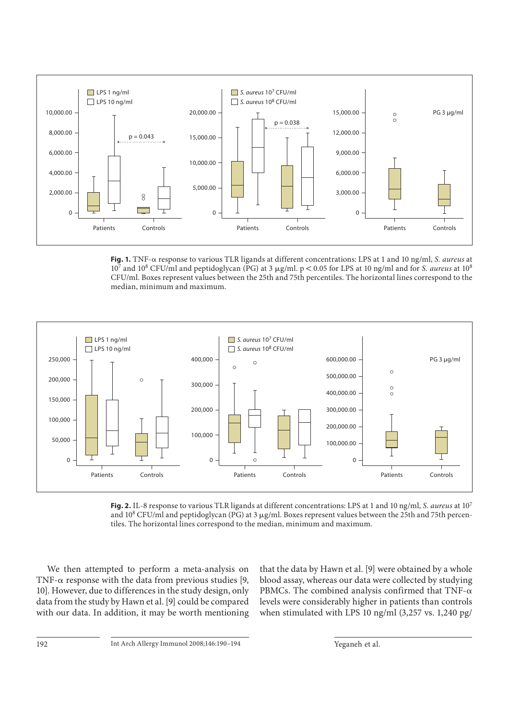

Fig. 1. TNF- $\alpha$  response to various TLR ligands at different concentrations: LPS at 1 and 10 ng/ml, *S. aureus* at 10<sup>7</sup> and 10<sup>8</sup> CFU/ml and peptidoglycan (PG) at 3 µg/ml. p < 0.05 for LPS at 10 ng/ml and for *S. aureus* at 10<sup>8</sup> CFU/ml. Boxes represent values between the 25th and 75th percentiles. The horizontal lines correspond to the median, minimum and maximum.



**Fig. 2.** IL-8 response to various TLR ligands at different concentrations: LPS at 1 and 10 ng/ml, *S. aureus* at 10 7 and 10 $^8$  CFU/ml and peptidoglycan (PG) at 3  $\mu$ g/ml. Boxes represent values between the 25th and 75th percentiles. The horizontal lines correspond to the median, minimum and maximum.

 We then attempted to perform a meta-analysis on TNF- $\alpha$  response with the data from previous studies [9, 10]. However, due to differences in the study design, only data from the study by Hawn et al. [9] could be compared with our data. In addition, it may be worth mentioning

that the data by Hawn et al. [9] were obtained by a whole blood assay, whereas our data were collected by studying PBMCs. The combined analysis confirmed that TNF- $\alpha$ levels were considerably higher in patients than controls when stimulated with LPS 10 ng/ml (3,257 vs. 1,240 pg/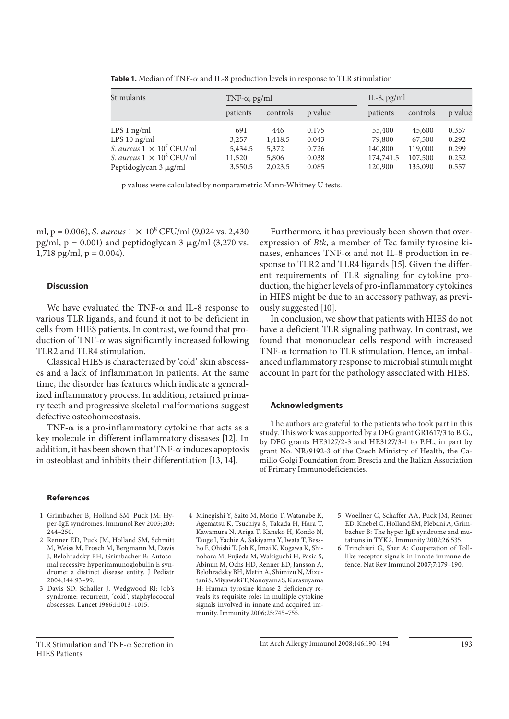| Stimulants                       | TNF- $\alpha$ , pg/ml |          |         | IL-8, $pg/ml$ |          |         |
|----------------------------------|-----------------------|----------|---------|---------------|----------|---------|
|                                  | patients              | controls | p value | patients      | controls | p value |
| $LPS1$ ng/ml                     | 691                   | 446      | 0.175   | 55,400        | 45,600   | 0.357   |
| $LPS 10$ ng/ml                   | 3,257                 | 1,418.5  | 0.043   | 79,800        | 67,500   | 0.292   |
| S. aureus $1 \times 10^7$ CFU/ml | 5,434.5               | 5,372    | 0.726   | 140,800       | 119,000  | 0.299   |
| S. aureus $1 \times 10^8$ CFU/ml | 11,520                | 5,806    | 0.038   | 174,741.5     | 107,500  | 0.252   |
| Peptidoglycan 3 μg/ml            | 3,550.5               | 2,023.5  | 0.085   | 120,900       | 135,090  | 0.557   |

ously suggested [10].

 **Acknowledgments** 

**Table 1.** Median of TNF-α and IL-8 production levels in response to TLR stimulation

p values were calculated by nonparametric Mann-Whitney U tests.

ml,  $p = 0.006$ ), *S. aureus*  $1 \times 10^8$  CFU/ml (9,024 vs. 2,430) pg/ml,  $p = 0.001$ ) and peptidoglycan 3  $\mu$ g/ml (3,270 vs. 1,718 pg/ml,  $p = 0.004$ ).

# **Discussion**

We have evaluated the TNF- $\alpha$  and IL-8 response to various TLR ligands, and found it not to be deficient in cells from HIES patients. In contrast, we found that production of TNF- $\alpha$  was significantly increased following TLR2 and TLR4 stimulation.

 Classical HIES is characterized by 'cold' skin abscesses and a lack of inflammation in patients. At the same time, the disorder has features which indicate a generalized inflammatory process. In addition, retained primary teeth and progressive skeletal malformations suggest defective osteohomeostasis.

TNF- $\alpha$  is a pro-inflammatory cytokine that acts as a key molecule in different inflammatory diseases [12]. In addition, it has been shown that  $TNF-\alpha$  induces apoptosis in osteoblast and inhibits their differentiation [13, 14] .

 **References** 

- 1 Grimbacher B, Holland SM, Puck JM: Hyper-IgE syndromes. Immunol Rev 2005;203: 244–250.
- 2 Renner ED, Puck JM, Holland SM, Schmitt M, Weiss M, Frosch M, Bergmann M, Davis J, Belohradsky BH, Grimbacher B: Autosomal recessive hyperimmunoglobulin E syndrome: a distinct disease entity. J Pediatr 2004;144:93–99.
- 3 Davis SD, Schaller J, Wedgwood RJ: Job's syndrome: recurrent, 'cold', staphylococcal abscesses. Lancet 1966;i:1013–1015.
- 4 Minegishi Y, Saito M, Morio T, Watanabe K, Agematsu K, Tsuchiya S, Takada H, Hara T, Kawamura N, Ariga T, Kaneko H, Kondo N, Tsuge I, Yachie A, Sakiyama Y, Iwata T, Bessho F, Ohishi T, Joh K, Imai K, Kogawa K, Shinohara M, Fujieda M, Wakiguchi H, Pasic S, Abinun M, Ochs HD, Renner ED, Jansson A, Belohradsky BH, Metin A, Shimizu N, Mizutani S, Miyawaki T, Nonoyama S, Karasuyama H: Human tyrosine kinase 2 deficiency reveals its requisite roles in multiple cytokine signals involved in innate and acquired immunity. Immunity 2006;25:745–755.
- by DFG grants HE3127/2-3 and HE3127/3-1 to P.H., in part by grant No. NR/9192-3 of the Czech Ministry of Health, the Camillo Golgi Foundation from Brescia and the Italian Association of Primary Immunodeficiencies.

 Furthermore, it has previously been shown that overexpression of *Btk* , a member of Tec family tyrosine kinases, enhances TNF- $\alpha$  and not IL-8 production in response to TLR2 and TLR4 ligands [15]. Given the different requirements of TLR signaling for cytokine production, the higher levels of pro-inflammatory cytokines in HIES might be due to an accessory pathway, as previ-

 In conclusion, we show that patients with HIES do not have a deficient TLR signaling pathway. In contrast, we found that mononuclear cells respond with increased TNF- $\alpha$  formation to TLR stimulation. Hence, an imbalanced inflammatory response to microbial stimuli might account in part for the pathology associated with HIES.

 The authors are grateful to the patients who took part in this study. This work was supported by a DFG grant GR1617/3 to B.G.,

- 5 Woellner C, Schaffer AA, Puck JM, Renner ED, Knebel C, Holland SM, Plebani A, Grimbacher B: The hyper IgE syndrome and mutations in TYK2. Immunity 2007;26:535.
- 6 Trinchieri G, Sher A: Cooperation of Tolllike receptor signals in innate immune defence. Nat Rev Immunol 2007;7:179–190.

TLR Stimulation and TNF- $\alpha$  Secretion in HIES Patients